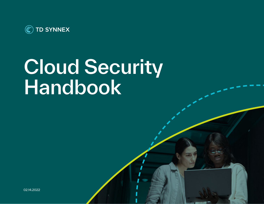

# Cloud Security Handbook

02.14.2022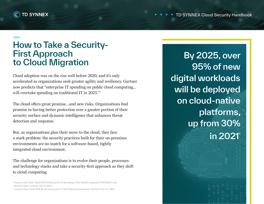

#### Intro

# How to Take a Security-First Approach to Cloud Migration

Cloud adoption was on the rise well before 2020, and it's only accelerated as organizations seek greater agility and resiliency. Gartner now predicts that "enterprise IT spending on public cloud computing… will overtake spending on traditional IT in 2025."1

The cloud offers great promise…and new risks. Organizations find promise in having better protection over a greater portion of their security surface and dynamic intelligence that enhances threat detection and response.

But, as organizations plan their move to the cloud, they face a stark problem: the security practices built for their on-premises environments are no match for a software-based, tightly integrated cloud environment.

The challenge for organizations is to evolve their people, processes and technology stacks and take a security-first approach as they shift to cloud computing.

2 Gartner Says Cloud Will Be the Centerpiece of New Digital Experiences. Gartner. Nov. 11, 2021.

By 2025, over 95% of new digital workloads will be deployed on cloud-native platforms, up from 30% in 2021²

<sup>1</sup> Gartner Says More Than Half of Enterprise IT Spending in Key Market Segments Will Shift to the Cloud by 2025. Gartner. Feb. 9, 2022.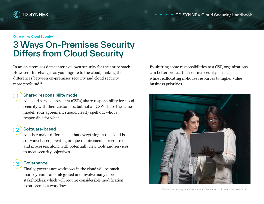

#### On-prem vs Cloud Security

# 3 Ways On-Premises Security Differs from Cloud Security

In an on-premises datacenter, you own security for the entire stack. However, this changes as you migrate to the cloud, making the differences between on-premises security and cloud security more profound:3

### Shared responsibility model

All cloud service providers (CSPs) share responsibility for cloud security with their customers, but not all CSPs share the same model. Your agreement should clearly spell out who is responsible for what.

## 2

1

### Software-based

Another major difference is that everything in the cloud is software-based, creating unique requirements for controls and processes, along with potentially new tools and services to meet security objectives.



### **Governance**

Finally, governance workflows in the cloud will be much more dynamic and integrated and involve many more stakeholders, which will require considerable modification to on-premises workflows.

By shifting some responsibilities to a CSP, organizations can better protect their entire security surface, while reallocating in-house resources to higher value business priorities.



#### 3 Migration Security Considerations and Challenges. TechTarget.com. Nov. 24, 2021.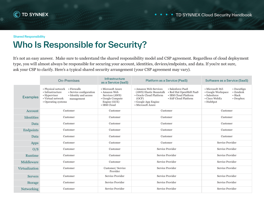

#### Shared Responsibility

# Who Is Responsible for Security?

It's not an easy answer. Make sure to understand the shared responsibility model and CSP agreement. Regardless of cloud deployment type, you will almost always be responsible for securing your account, identities, devices/endpoints, and data. If you're not sure, ask your CSP to clarify. Here's a typical shared security arrangement (your CSP agreement may vary).

|                 | <b>On-Premises</b>                                                                                                                                                                          | Infrastructure<br>as a Service (laaS)                                                                  | Platform as a Service (PaaS)                                                                                                                                                                                                      | Software as a Service (SaaS)                                                                                                                                       |
|-----------------|---------------------------------------------------------------------------------------------------------------------------------------------------------------------------------------------|--------------------------------------------------------------------------------------------------------|-----------------------------------------------------------------------------------------------------------------------------------------------------------------------------------------------------------------------------------|--------------------------------------------------------------------------------------------------------------------------------------------------------------------|
| <b>Examples</b> | $\bullet$ Firewalls<br>• Physical network<br>• Infrastructure<br>• Service configuration<br>• Hypervisor<br>• Identity and access<br>• Virtual network<br>management<br>• Operating systems | • Microsoft Azure<br>• Amazon Web<br>Services (AWS)<br>• Google Compute<br>Engine (GCE)<br>• IBM Cloud | • Amazon Web Services<br>• Salesforce PaaS<br>• Red Hat OpenShift PaaS<br>(AWS) Elastic Beanstalk<br>• IBM Cloud Platform<br>• Oracle Cloud Platform<br>• SAP Cloud Platform<br>(OCP)<br>• Google App Engine<br>• Microsoft Azure | • Microsoft 365<br>$\cdot$ DocuSign<br>$\bullet$ Zendesk<br>• Google Workspace<br>$\bullet$ Slack<br>• Salesforce<br>• Cisco WebEx<br>$\cdot$ Dropbox<br>• HubSpot |
| Account         | Customer                                                                                                                                                                                    | Customer                                                                                               | Customer                                                                                                                                                                                                                          | Customer                                                                                                                                                           |
| Identities      | Customer                                                                                                                                                                                    | Customer                                                                                               | Customer                                                                                                                                                                                                                          | Customer                                                                                                                                                           |
| Data            | Customer                                                                                                                                                                                    | Customer                                                                                               | Customer                                                                                                                                                                                                                          | Customer                                                                                                                                                           |
| Endpoints       | Customer                                                                                                                                                                                    | Customer                                                                                               | Customer                                                                                                                                                                                                                          | Customer                                                                                                                                                           |
| Data            | Customer                                                                                                                                                                                    | Customer                                                                                               | Customer                                                                                                                                                                                                                          | Customer                                                                                                                                                           |
| Apps            | Customer                                                                                                                                                                                    | Customer                                                                                               | Customer                                                                                                                                                                                                                          | Service Provider                                                                                                                                                   |
| O/S             | Customer                                                                                                                                                                                    | Customer                                                                                               | Service Provider                                                                                                                                                                                                                  | Service Provider                                                                                                                                                   |
| Runtime         | Customer                                                                                                                                                                                    | Customer                                                                                               | Service Provider                                                                                                                                                                                                                  | Service Provider                                                                                                                                                   |
| Middleware      | Customer                                                                                                                                                                                    | Customer                                                                                               | Service Provider                                                                                                                                                                                                                  | Service Provider                                                                                                                                                   |
| Virtualization  | Customer                                                                                                                                                                                    | Customer/Service<br>Provider                                                                           | Service Provider                                                                                                                                                                                                                  | Service Provider                                                                                                                                                   |
| <b>Servers</b>  | Customer                                                                                                                                                                                    | Service Provider                                                                                       | Service Provider                                                                                                                                                                                                                  | Service Provider                                                                                                                                                   |
| <b>Storage</b>  | Customer                                                                                                                                                                                    | Service Provider                                                                                       | Service Provider                                                                                                                                                                                                                  | Service Provider                                                                                                                                                   |
| Networking      | Customer                                                                                                                                                                                    | Service Provider                                                                                       | Service Provider                                                                                                                                                                                                                  | Service Provider                                                                                                                                                   |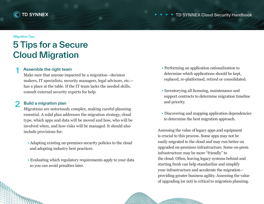

#### Migration Tips

**SALES DE L'ANTINOPESA EN 1888** 

# 5 Tips for a Secure Cloud Migration

#### Assemble the right team 1

Make sure that anyone impacted by a migration—decision makers, IT specialists, security managers, legal advisors, etc. has a place at the table. If the IT team lacks the needed skills, consult external security experts for help.

#### Build a migration plan 2

Migrations are notoriously complex, making careful planning essential. A solid plan addresses the migration strategy, cloud type, which apps and data will be moved and how, who will be involved when, and how risks will be managed. It should also include provisions for:

- Adapting existing on-premises security policies to the cloud and adopting industry best practices.
- Evaluating which regulatory requirements apply to your data so you can avoid penalties later.
- Performing an application rationalization to determine which applications should be kept, replaced, re-platformed, retired or consolidated.
- Inventorying all licensing, maintenance and support contracts to determine migration timeline and priority.
- Discovering and mapping application dependencies to determine the best migration approach.

Assessing the value of legacy apps and equipment is crucial to this process. Some apps may not be easily migrated to the cloud and may run better on upgraded on-premises infrastructure. Some on-prem infrastructure may be more "friendly" to the cloud. Often, leaving legacy systems behind and starting fresh can help standardize and simplify your infrastructure and accelerate the migration providing greater business agility. Assessing the value of upgrading (or not) is critical to migration planning.

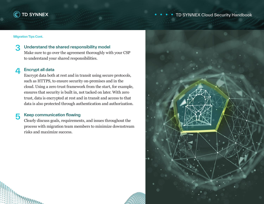

### TD SYNNEX Cloud Security Handbook

Migration Tips Cont.

#### Understand the shared responsibility model 3

Make sure to go over the agreement thoroughly with your CSP to understand your shared responsibilities.

#### Encrypt all data 4

Encrypt data both at rest and in transit using secure protocols, such as HTTPS, to ensure security on-premises and in the cloud. Using a zero trust framework from the start, for example, ensures that security is built in, not tacked on later. With zero trust, data is encrypted at rest and in transit and access to that data is also protected through authentication and authorization.

#### Keep communication flowing 5

Clearly discuss goals, requirements, and issues throughout the process with migration team members to minimize downstream risks and maximize success.

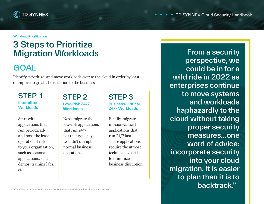

Workload Prioritization

# 3 Steps to Prioritize Migration Workloads

# **GOAL**

Identify, prioritize, and move workloads over to the cloud in order by least disruptive to greatest disruption to the business

### STEP 1 Intermittent **Workloads**

Start with applications that run periodically and pose the least operational risk to your organization, such as seasonal applications, sales demos, training labs, etc.

STEP 2 Low-Risk 24/7 **Workloads** 

Next, migrate the low-risk applications that run 24/7 but that typically wouldn't disrupt normal business operations.

### STEP 3 Business-Critical 24/7 Workloads

Finally, migrate mission-critical applications that run 24/7 last. These applications require the utmost technical expertise to minimize business disruption.

From a security perspective, we could be in for a wild ride in 2022 as enterprises continue to move systems and workloads haphazardly to the cloud without taking proper security measures…one word of advice: incorporate security into your cloud migration. It is easier to plan than it is to backtrack."<sup>4</sup>

4*Cloud Migration Has Ended Enterprise Datacenter*. SecurityBoulevard.com. Feb. 10, 2022.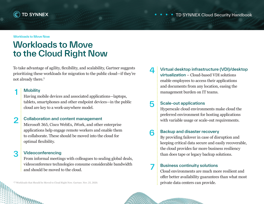

#### Workloads to Move Now

# Workloads to Move to the Cloud Right Now

To take advantage of agility, flexibility, and scalability, Gartner suggests prioritizing these workloads for migration to the public cloud—if they're not already there.5

### **Mobility**

1

2

Having mobile devices and associated applications—laptops, tablets, smartphones and other endpoint devices—in the public cloud are key to a work-anywhere model.

### Collaboration and content management

Microsoft 365, Cisco WebEx, iWork, and other enterprise applications help engage remote workers and enable them to collaborate. These should be moved into the cloud for optimal flexibility.

#### Videoconferencing 3

*<i><u><b>The WANDOWS*</u>

From informal meetings with colleagues to sealing global deals, videoconference technologies consume considerable bandwidth and should be moved to the cloud.

5 7 Workloads that Should be Moved to Cloud Right Now. Gartner. Nov. 25, 2020.

#### Virtual desktop infrastructure (VDI)/desktop 4

virtualization – Cloud-based VDI solutions enable employees to access their applications and documents from any location, easing the management burden on IT teams.

#### Scale-out applications 5

Hyperscale cloud environments make cloud the preferred environment for hosting applications with variable usage or scale-out requirements.

#### Backup and disaster recovery 6

By providing failover in case of disruption and keeping critical data secure and easily recoverable, the cloud provides far more business resiliency than does tape or legacy backup solutions.

### Business continuity solutions

Cloud environments are much more resilient and offer better availability guarantees than what most private data centers can provide.

7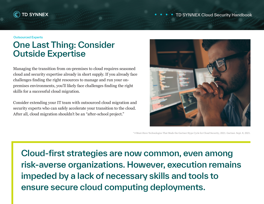

Outsourced Experts

# One Last Thing: Consider Outside Expertise

Managing the transition from on-premises to cloud requires seasoned cloud and security expertise already in short supply. If you already face challenges finding the right resources to manage and run your onpremises environments, you'll likely face challenges finding the right skills for a successful cloud migration.

Consider extending your IT team with outsourced cloud migration and security experts who can safely accelerate your transition to the cloud. After all, cloud migration shouldn't be an "after-school project."



6 4 Must-Have Technologies That Made the Gartner Hype Cycle for Cloud Security, 2021. Gartner. Sept. 8, 2021.

Cloud-first strategies are now common, even among risk-averse organizations. However, execution remains impeded by a lack of necessary skills and tools to ensure secure cloud computing deployments.